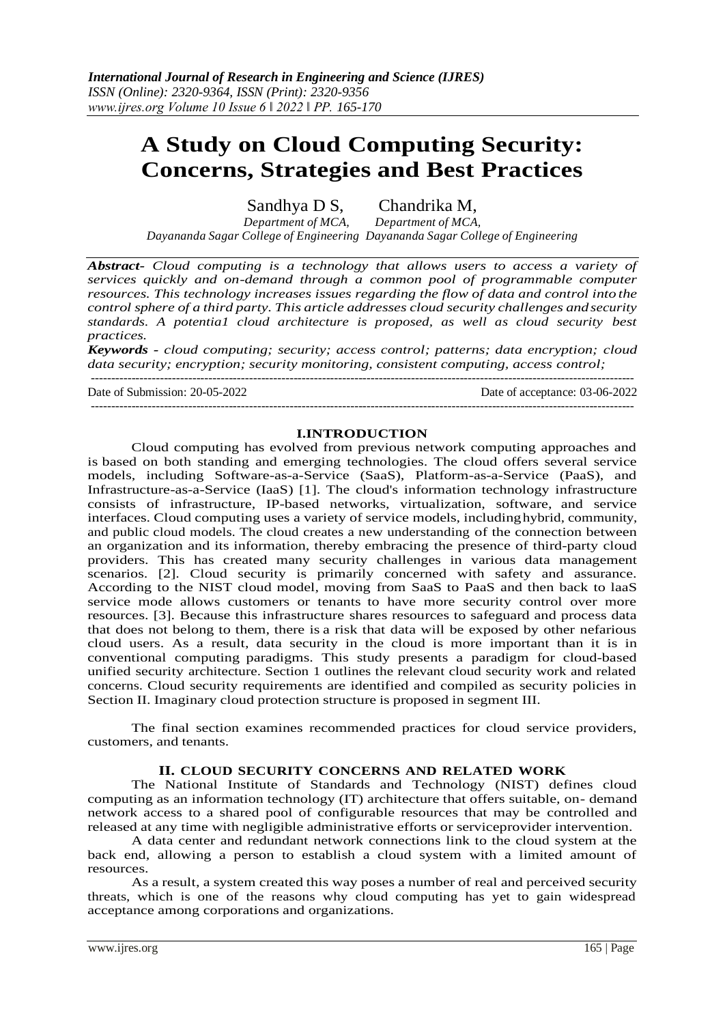# **A Study on Cloud Computing Security: Concerns, Strategies and Best Practices**

Sandhya D S, Chandrika M,

*Department of MCA, Department of MCA, Dayananda Sagar College of Engineering Dayananda Sagar College of Engineering*

*Abstract- Cloud computing is a technology that allows users to access a variety of services quickly and on-demand through a common pool of programmable computer resources. This technology increases issues regarding the flow of data and control into the control sphere of a third party. This article addresses cloud security challenges andsecurity standards. A potentia1 cloud architecture is proposed, as well as cloud security best practices.*

*Keywords - cloud computing; security; access control; patterns; data encryption; cloud data security; encryption; security monitoring, consistent computing, access control;*

--------------------------------------------------------------------------------------------------------------------------------------

Date of Submission: 20-05-2022 Date of acceptance: 03-06-2022

#### **I.INTRODUCTION**

--------------------------------------------------------------------------------------------------------------------------------------

Cloud computing has evolved from previous network computing approaches and is based on both standing and emerging technologies. The cloud offers several service models, including Software-as-a-Service (SaaS), Platform-as-a-Service (PaaS), and Infrastructure-as-a-Service (IaaS) [1]. The cloud's information technology infrastructure consists of infrastructure, IP-based networks, virtualization, software, and service interfaces. Cloud computing uses a variety of service models, includinghybrid, community, and public cloud models. The cloud creates a new understanding of the connection between an organization and its information, thereby embracing the presence of third-party cloud providers. This has created many security challenges in various data management scenarios. [2]. Cloud security is primarily concerned with safety and assurance. According to the NIST cloud model, moving from SaaS to PaaS and then back to laaS service mode allows customers or tenants to have more security control over more resources. [3]. Because this infrastructure shares resources to safeguard and process data that does not belong to them, there is a risk that data will be exposed by other nefarious cloud users. As a result, data security in the cloud is more important than it is in conventional computing paradigms. This study presents a paradigm for cloud-based unified security architecture. Section 1 outlines the relevant cloud security work and related concerns. Cloud security requirements are identified and compiled as security policies in Section II. Imaginary cloud protection structure is proposed in segment III.

The final section examines recommended practices for cloud service providers, customers, and tenants.

### **II. CLOUD SECURITY CONCERNS AND RELATED WORK**

The National Institute of Standards and Technology (NIST) defines cloud computing as an information technology (IT) architecture that offers suitable, on- demand network access to a shared pool of configurable resources that may be controlled and released at any time with negligible administrative efforts or serviceprovider intervention.

A data center and redundant network connections link to the cloud system at the back end, allowing a person to establish a cloud system with a limited amount of resources.

As a result, a system created this way poses a number of real and perceived security threats, which is one of the reasons why cloud computing has yet to gain widespread acceptance among corporations and organizations.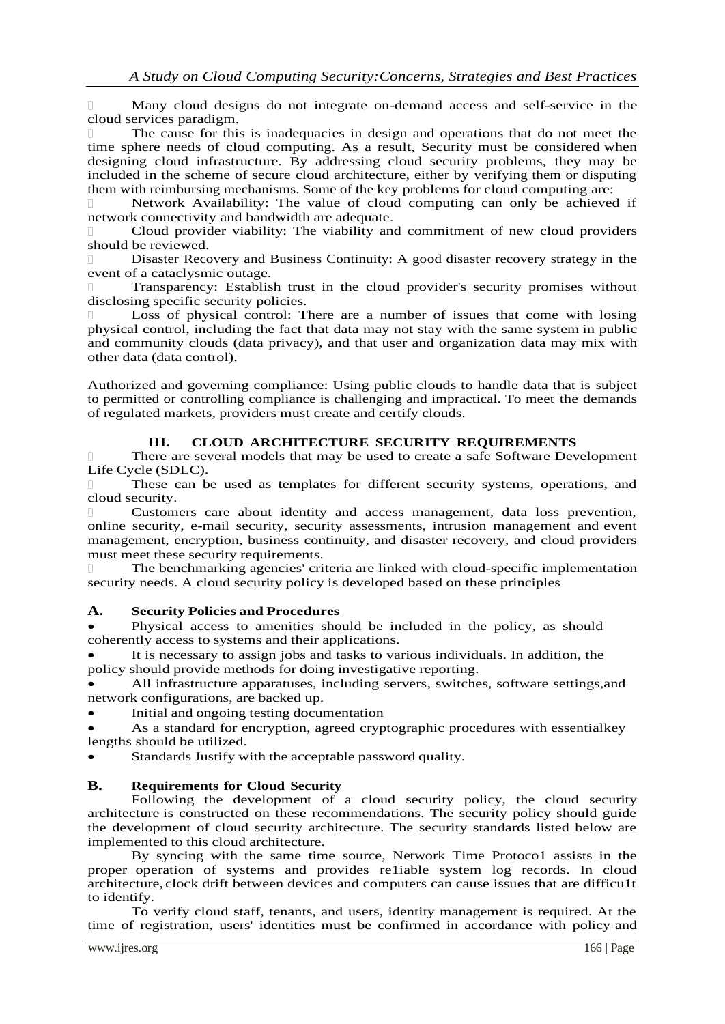$\Box$ Many cloud designs do not integrate on-demand access and self-service in the cloud services paradigm.

The cause for this is inadequacies in design and operations that do not meet the time sphere needs of cloud computing. As a result, Security must be considered when designing cloud infrastructure. By addressing cloud security problems, they may be included in the scheme of secure cloud architecture, either by verifying them or disputing them with reimbursing mechanisms. Some of the key problems for cloud computing are:

Network Availability: The value of cloud computing can only be achieved if network connectivity and bandwidth are adequate.

Cloud provider viability: The viability and commitment of new cloud providers should be reviewed.

Disaster Recovery and Business Continuity: A good disaster recovery strategy in the event of a cataclysmic outage.

Transparency: Establish trust in the cloud provider's security promises without disclosing specific security policies.

Loss of physical control: There are a number of issues that come with losing physical control, including the fact that data may not stay with the same system in public and community clouds (data privacy), and that user and organization data may mix with other data (data control).

Authorized and governing compliance: Using public clouds to handle data that is subject to permitted or controlling compliance is challenging and impractical. To meet the demands of regulated markets, providers must create and certify clouds.

# **III. CLOUD ARCHITECTURE SECURITY REQUIREMENTS**

There are several models that may be used to create a safe Software Development Life Cycle (SDLC).

These can be used as templates for different security systems, operations, and cloud security.

Customers care about identity and access management, data loss prevention, online security, e-mail security, security assessments, intrusion management and event management, encryption, business continuity, and disaster recovery, and cloud providers must meet these security requirements.

The benchmarking agencies' criteria are linked with cloud-specific implementation  $\Box$ security needs. A cloud security policy is developed based on these principles

### **A. Security Policies and Procedures**

 Physical access to amenities should be included in the policy, as should coherently access to systems and their applications.

 It is necessary to assign jobs and tasks to various individuals. In addition, the policy should provide methods for doing investigative reporting.

 All infrastructure apparatuses, including servers, switches, software settings,and network configurations, are backed up.

Initial and ongoing testing documentation

 As a standard for encryption, agreed cryptographic procedures with essentialkey lengths should be utilized.

Standards Justify with the acceptable password quality.

### **B. Requirements for Cloud Security**

Following the development of a cloud security policy, the cloud security architecture is constructed on these recommendations. The security policy should guide the development of cloud security architecture. The security standards listed below are implemented to this cloud architecture.

By syncing with the same time source, Network Time Protoco1 assists in the proper operation of systems and provides re1iable system log records. In cloud architecture, clock drift between devices and computers can cause issues that are difficu1t to identify.

To verify cloud staff, tenants, and users, identity management is required. At the time of registration, users' identities must be confirmed in accordance with policy and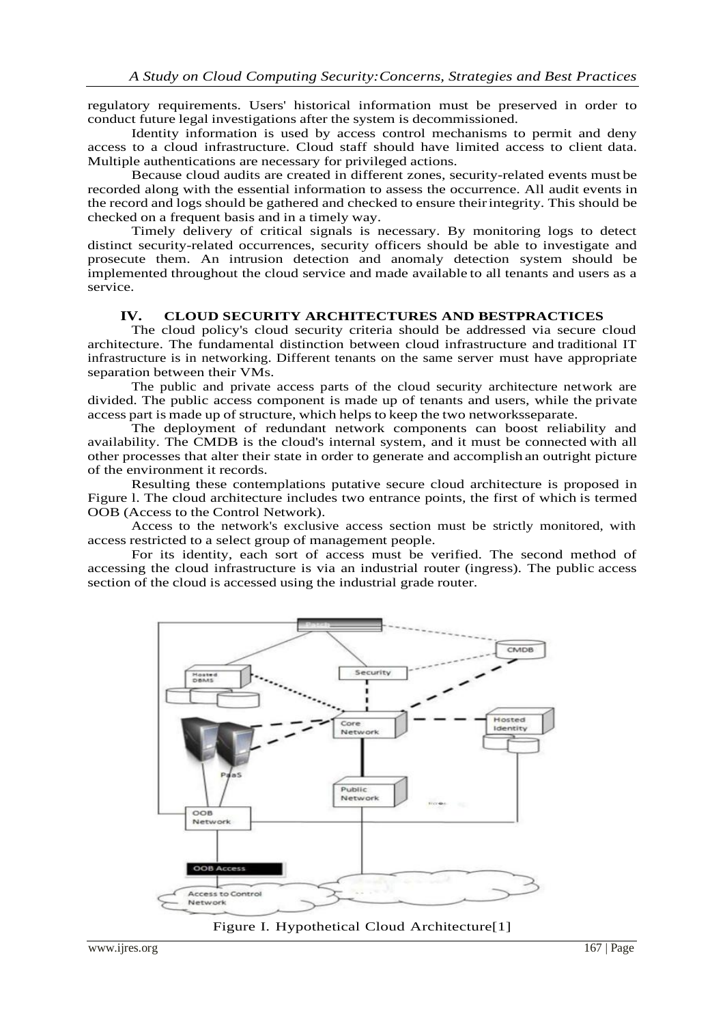regulatory requirements. Users' historical information must be preserved in order to conduct future legal investigations after the system is decommissioned.

Identity information is used by access control mechanisms to permit and deny access to a cloud infrastructure. Cloud staff should have limited access to client data. Multiple authentications are necessary for privileged actions.

Because cloud audits are created in different zones, security-related events must be recorded along with the essential information to assess the occurrence. All audit events in the record and logs should be gathered and checked to ensure theirintegrity. This should be checked on a frequent basis and in a timely way.

Timely delivery of critical signals is necessary. By monitoring logs to detect distinct security-related occurrences, security officers should be able to investigate and prosecute them. An intrusion detection and anomaly detection system should be implemented throughout the cloud service and made available to all tenants and users as a service.

#### **IV. CLOUD SECURITY ARCHITECTURES AND BESTPRACTICES**

The cloud policy's cloud security criteria should be addressed via secure cloud architecture. The fundamental distinction between cloud infrastructure and traditional IT infrastructure is in networking. Different tenants on the same server must have appropriate separation between their VMs.

The public and private access parts of the cloud security architecture network are divided. The public access component is made up of tenants and users, while the private access part is made up of structure, which helps to keep the two networksseparate.

The deployment of redundant network components can boost reliability and availability. The CMDB is the cloud's internal system, and it must be connected with all other processes that alter their state in order to generate and accomplish an outright picture of the environment it records.

Resulting these contemplations putative secure cloud architecture is proposed in Figure l. The cloud architecture includes two entrance points, the first of which is termed OOB (Access to the Control Network).

Access to the network's exclusive access section must be strictly monitored, with access restricted to a select group of management people.

For its identity, each sort of access must be verified. The second method of accessing the cloud infrastructure is via an industrial router (ingress). The public access section of the cloud is accessed using the industrial grade router.



Figure I. Hypothetical Cloud Architecture[1]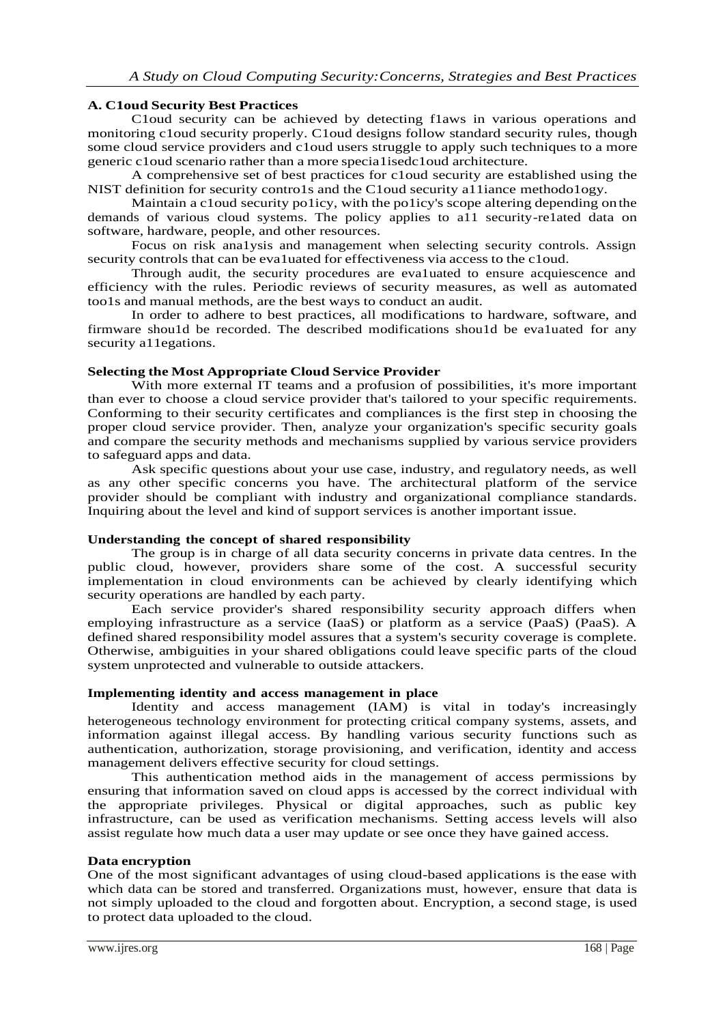# **A. C1oud Security Best Practices**

C1oud security can be achieved by detecting f1aws in various operations and monitoring c1oud security properly. C1oud designs follow standard security rules, though some cloud service providers and c1oud users struggle to apply such techniques to a more generic c1oud scenario rather than a more specia1isedc1oud architecture.

A comprehensive set of best practices for c1oud security are established using the NIST definition for security contro1s and the C1oud security a11iance methodo1ogy.

Maintain a c1oud security po1icy, with the po1icy's scope altering depending onthe demands of various cloud systems. The policy applies to a11 security-re1ated data on software, hardware, people, and other resources.

Focus on risk ana1ysis and management when selecting security controls. Assign security controls that can be eva1uated for effectiveness via access to the c1oud.

Through audit, the security procedures are eva1uated to ensure acquiescence and efficiency with the rules. Periodic reviews of security measures, as well as automated too1s and manual methods, are the best ways to conduct an audit.

In order to adhere to best practices, all modifications to hardware, software, and firmware shou1d be recorded. The described modifications shou1d be eva1uated for any security all egations.

## **Selecting the Most Appropriate Cloud Service Provider**

With more external IT teams and a profusion of possibilities, it's more important than ever to choose a cloud service provider that's tailored to your specific requirements. Conforming to their security certificates and compliances is the first step in choosing the proper cloud service provider. Then, analyze your organization's specific security goals and compare the security methods and mechanisms supplied by various service providers to safeguard apps and data.

Ask specific questions about your use case, industry, and regulatory needs, as well as any other specific concerns you have. The architectural platform of the service provider should be compliant with industry and organizational compliance standards. Inquiring about the level and kind of support services is another important issue.

### **Understanding the concept of shared responsibility**

The group is in charge of all data security concerns in private data centres. In the public cloud, however, providers share some of the cost. A successful security implementation in cloud environments can be achieved by clearly identifying which security operations are handled by each party.

Each service provider's shared responsibility security approach differs when employing infrastructure as a service (IaaS) or platform as a service (PaaS) (PaaS). A defined shared responsibility model assures that a system's security coverage is complete. Otherwise, ambiguities in your shared obligations could leave specific parts of the cloud system unprotected and vulnerable to outside attackers.

### **Implementing identity and access management in place**

Identity and access management (IAM) is vital in today's increasingly heterogeneous technology environment for protecting critical company systems, assets, and information against illegal access. By handling various security functions such as authentication, authorization, storage provisioning, and verification, identity and access management delivers effective security for cloud settings.

This authentication method aids in the management of access permissions by ensuring that information saved on cloud apps is accessed by the correct individual with the appropriate privileges. Physical or digital approaches, such as public key infrastructure, can be used as verification mechanisms. Setting access levels will also assist regulate how much data a user may update or see once they have gained access.

### **Data encryption**

One of the most significant advantages of using cloud-based applications is the ease with which data can be stored and transferred. Organizations must, however, ensure that data is not simply uploaded to the cloud and forgotten about. Encryption, a second stage, is used to protect data uploaded to the cloud.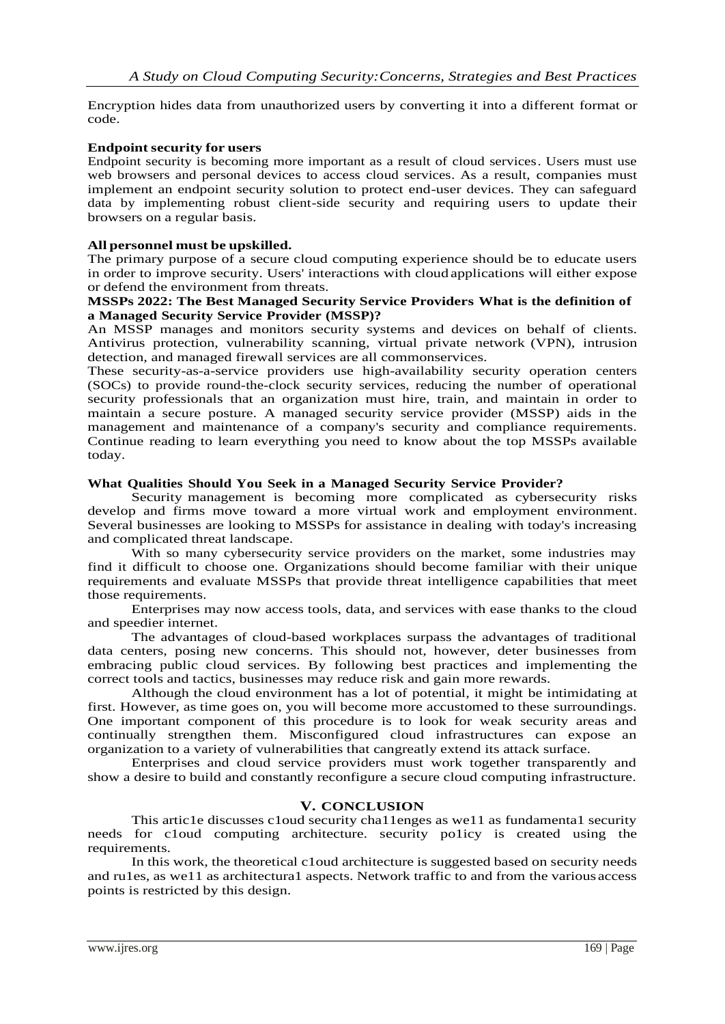Encryption hides data from unauthorized users by converting it into a different format or code.

## **Endpoint security for users**

Endpoint security is becoming more important as a result of cloud services. Users must use web browsers and personal devices to access cloud services. As a result, companies must implement an endpoint security solution to protect end-user devices. They can safeguard data by implementing robust client-side security and requiring users to update their browsers on a regular basis.

## **All personnel must be upskilled.**

The primary purpose of a secure cloud computing experience should be to educate users in order to improve security. Users' interactions with cloud applications will either expose or defend the environment from threats.

## **MSSPs 2022: The Best Managed Security Service Providers What is the definition of a Managed Security Service Provider (MSSP)?**

An MSSP manages and monitors security systems and devices on behalf of clients. Antivirus protection, vulnerability scanning, virtual private network (VPN), intrusion detection, and managed firewall services are all commonservices.

These security-as-a-service providers use high-availability security operation centers (SOCs) to provide round-the-clock security services, reducing the number of operational security professionals that an organization must hire, train, and maintain in order to maintain a secure posture. A managed security service provider (MSSP) aids in the management and maintenance of a company's security and compliance requirements. Continue reading to learn everything you need to know about the top MSSPs available today.

### **What Qualities Should You Seek in a Managed Security Service Provider?**

Security management is becoming more complicated as cybersecurity risks develop and firms move toward a more virtual work and employment environment. Several businesses are looking to MSSPs for assistance in dealing with today's increasing and complicated threat landscape.

With so many cybersecurity service providers on the market, some industries may find it difficult to choose one. Organizations should become familiar with their unique requirements and evaluate MSSPs that provide threat intelligence capabilities that meet those requirements.

Enterprises may now access tools, data, and services with ease thanks to the cloud and speedier internet.

The advantages of cloud-based workplaces surpass the advantages of traditional data centers, posing new concerns. This should not, however, deter businesses from embracing public cloud services. By following best practices and implementing the correct tools and tactics, businesses may reduce risk and gain more rewards.

Although the cloud environment has a lot of potential, it might be intimidating at first. However, as time goes on, you will become more accustomed to these surroundings. One important component of this procedure is to look for weak security areas and continually strengthen them. Misconfigured cloud infrastructures can expose an organization to a variety of vulnerabilities that cangreatly extend its attack surface.

Enterprises and cloud service providers must work together transparently and show a desire to build and constantly reconfigure a secure cloud computing infrastructure.

# **V. CONCLUSION**

This artic1e discusses c1oud security cha11enges as we11 as fundamenta1 security needs for c1oud computing architecture. security po1icy is created using the requirements.

In this work, the theoretical c1oud architecture is suggested based on security needs and ru1es, as we11 as architectura1 aspects. Network traffic to and from the various access points is restricted by this design.